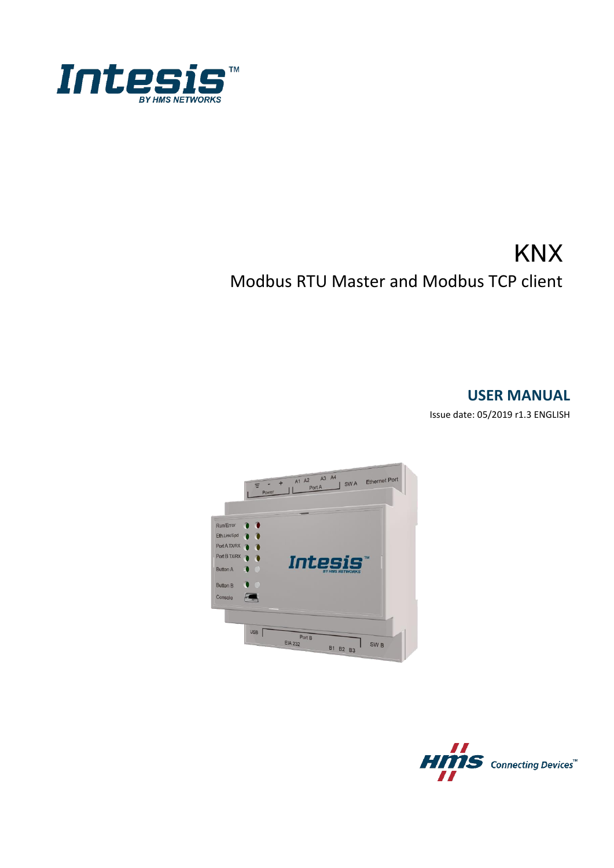

# **KNX** Modbus RTU Master and Modbus TCP client

### **USER MANUAL**

Issue date: 05/2019 r1.3 ENGLISH



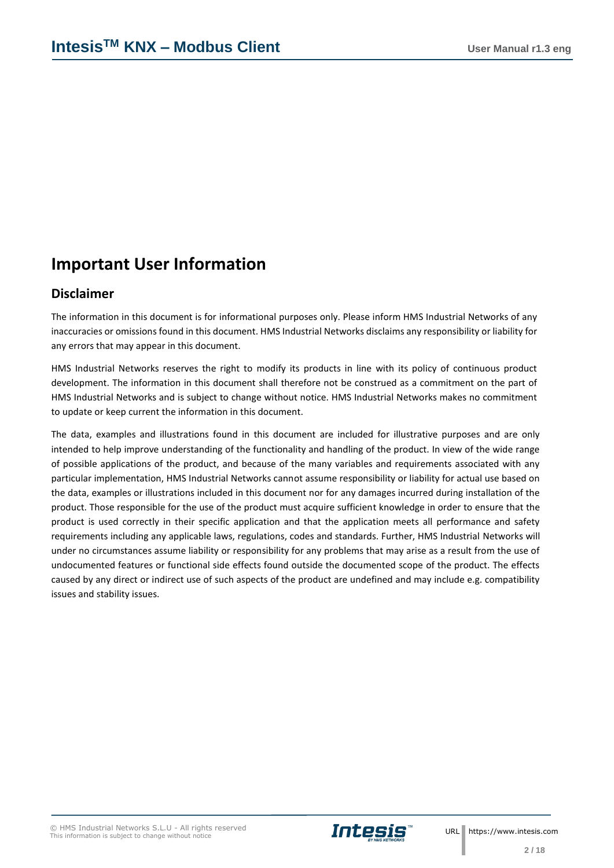## **Important User Information**

### **Disclaimer**

The information in this document is for informational purposes only. Please inform HMS Industrial Networks of any inaccuracies or omissions found in this document. HMS Industrial Networks disclaims any responsibility or liability for any errors that may appear in this document.

HMS Industrial Networks reserves the right to modify its products in line with its policy of continuous product development. The information in this document shall therefore not be construed as a commitment on the part of HMS Industrial Networks and is subject to change without notice. HMS Industrial Networks makes no commitment to update or keep current the information in this document.

The data, examples and illustrations found in this document are included for illustrative purposes and are only intended to help improve understanding of the functionality and handling of the product. In view of the wide range of possible applications of the product, and because of the many variables and requirements associated with any particular implementation, HMS Industrial Networks cannot assume responsibility or liability for actual use based on the data, examples or illustrations included in this document nor for any damages incurred during installation of the product. Those responsible for the use of the product must acquire sufficient knowledge in order to ensure that the product is used correctly in their specific application and that the application meets all performance and safety requirements including any applicable laws, regulations, codes and standards. Further, HMS Industrial Networks will under no circumstances assume liability or responsibility for any problems that may arise as a result from the use of undocumented features or functional side effects found outside the documented scope of the product. The effects caused by any direct or indirect use of such aspects of the product are undefined and may include e.g. compatibility issues and stability issues.

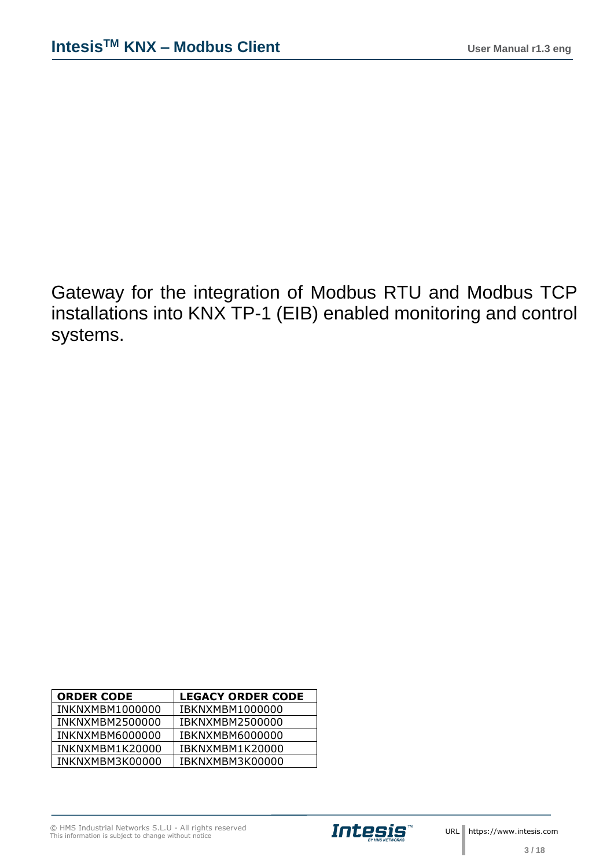Gateway for the integration of Modbus RTU and Modbus TCP installations into KNX TP-1 (EIB) enabled monitoring and control systems.

| <b>ORDER CODE</b>      | <b>LEGACY ORDER CODE</b> |
|------------------------|--------------------------|
| INKNXMBM1000000        | <b>IBKNXMBM1000000</b>   |
| INKNXMBM2500000        | <b>IBKNXMBM2500000</b>   |
| <b>INKNXMBM6000000</b> | <b>IBKNXMBM6000000</b>   |
| INKNXMBM1K20000        | IBKNXMBM1K20000          |
| INKNXMBM3K00000        | IBKNXMBM3K00000          |

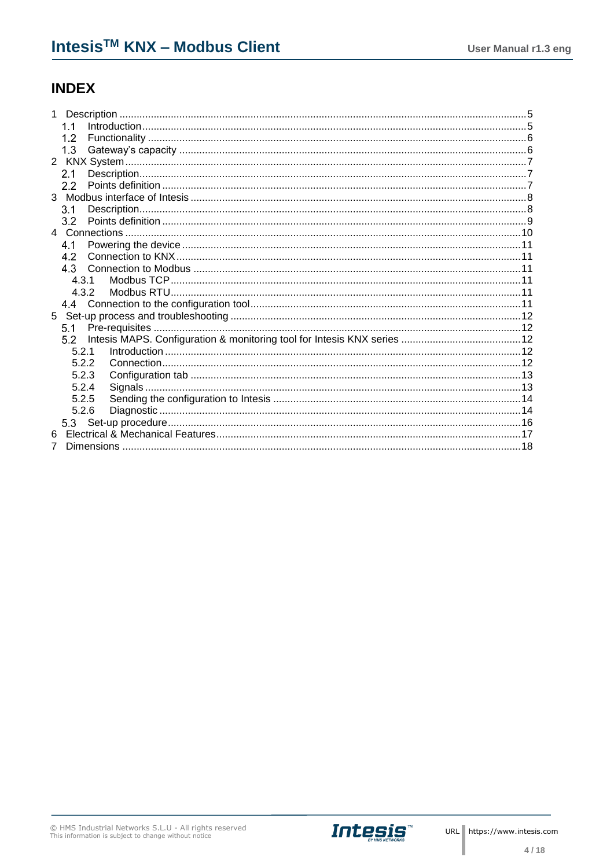## **INDEX**

| 1     |  |
|-------|--|
| 1.1   |  |
| 1.2   |  |
| 1.3   |  |
|       |  |
| 21    |  |
| 2.2   |  |
| 3     |  |
| 3.1   |  |
| 3.2   |  |
|       |  |
| 4.1   |  |
| 42    |  |
| 4.3   |  |
| 4.3.1 |  |
| 4.3.2 |  |
|       |  |
|       |  |
| 5.1   |  |
| 52.   |  |
| 5.2.1 |  |
| 5.2.2 |  |
| 5.2.3 |  |
| 5.2.4 |  |
| 5.2.5 |  |
| 5.2.6 |  |
|       |  |
|       |  |
| 7     |  |



ı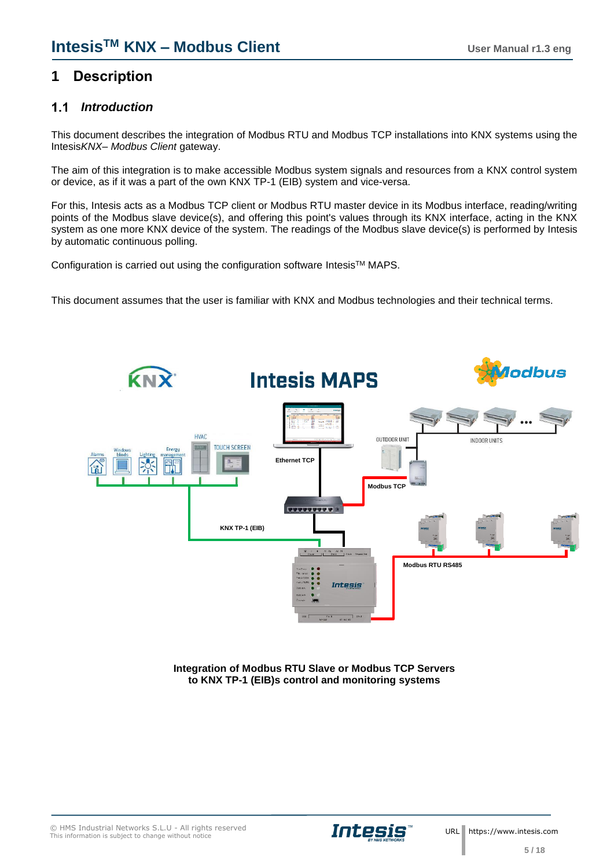## <span id="page-4-0"></span>**1 Description**

#### <span id="page-4-1"></span> $1.1$ *Introduction*

This document describes the integration of Modbus RTU and Modbus TCP installations into KNX systems using the Intesis*KNX– Modbus Client* gateway.

The aim of this integration is to make accessible Modbus system signals and resources from a KNX control system or device, as if it was a part of the own KNX TP-1 (EIB) system and vice-versa.

For this, Intesis acts as a Modbus TCP client or Modbus RTU master device in its Modbus interface, reading/writing points of the Modbus slave device(s), and offering this point's values through its KNX interface, acting in the KNX system as one more KNX device of the system. The readings of the Modbus slave device(s) is performed by Intesis by automatic continuous polling.

Configuration is carried out using the configuration software Intesis™ MAPS.

This document assumes that the user is familiar with KNX and Modbus technologies and their technical terms.



**Integration of Modbus RTU Slave or Modbus TCP Servers to KNX TP-1 (EIB)s control and monitoring systems**

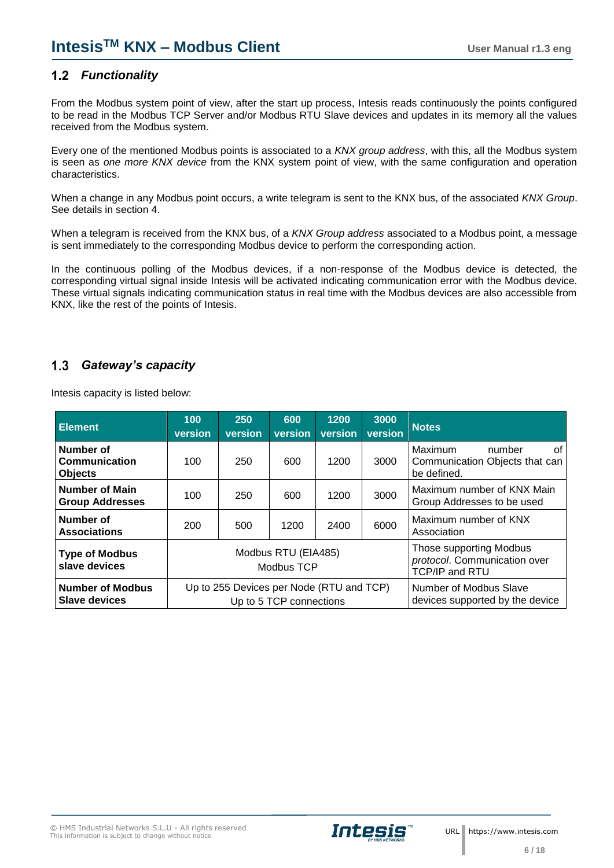### <span id="page-5-0"></span>*Functionality*

From the Modbus system point of view, after the start up process, Intesis reads continuously the points configured to be read in the Modbus TCP Server and/or Modbus RTU Slave devices and updates in its memory all the values received from the Modbus system.

Every one of the mentioned Modbus points is associated to a *KNX group address*, with this, all the Modbus system is seen as *one more KNX device* from the KNX system point of view, with the same configuration and operation characteristics.

When a change in any Modbus point occurs, a write telegram is sent to the KNX bus, of the associated *KNX Group*. See details in section 4.

When a telegram is received from the KNX bus, of a *KNX Group address* associated to a Modbus point, a message is sent immediately to the corresponding Modbus device to perform the corresponding action.

In the continuous polling of the Modbus devices, if a non-response of the Modbus device is detected, the corresponding virtual signal inside Intesis will be activated indicating communication error with the Modbus device. These virtual signals indicating communication status in real time with the Modbus devices are also accessible from KNX, like the rest of the points of Intesis.

#### <span id="page-5-1"></span> $1.3$ *Gateway's capacity*

| <b>Element</b>                                      | 100<br>version | 250<br>version                           | 600<br>version                    | 1200<br>version | 3000<br>version                                                                  | <b>Notes</b>                                                             |  |  |  |
|-----------------------------------------------------|----------------|------------------------------------------|-----------------------------------|-----------------|----------------------------------------------------------------------------------|--------------------------------------------------------------------------|--|--|--|
| Number of<br><b>Communication</b><br><b>Objects</b> | 100            | 250                                      | 600                               | 1200            | 3000                                                                             | Maximum<br>0f<br>number<br>Communication Objects that can<br>be defined. |  |  |  |
| <b>Number of Main</b><br><b>Group Addresses</b>     | 100            | 250                                      | 600                               | 1200            | 3000                                                                             | Maximum number of KNX Main<br>Group Addresses to be used                 |  |  |  |
| Number of<br><b>Associations</b>                    | 200            | 500                                      | 1200                              | 2400            | 6000                                                                             | Maximum number of KNX<br>Association                                     |  |  |  |
| <b>Type of Modbus</b><br>slave devices              |                |                                          | Modbus RTU (EIA485)<br>Modbus TCP |                 | Those supporting Modbus<br>protocol. Communication over<br><b>TCP/IP and RTU</b> |                                                                          |  |  |  |
| <b>Number of Modbus</b><br><b>Slave devices</b>     |                | Up to 255 Devices per Node (RTU and TCP) | Up to 5 TCP connections           |                 | Number of Modbus Slave<br>devices supported by the device                        |                                                                          |  |  |  |

Intesis capacity is listed below:

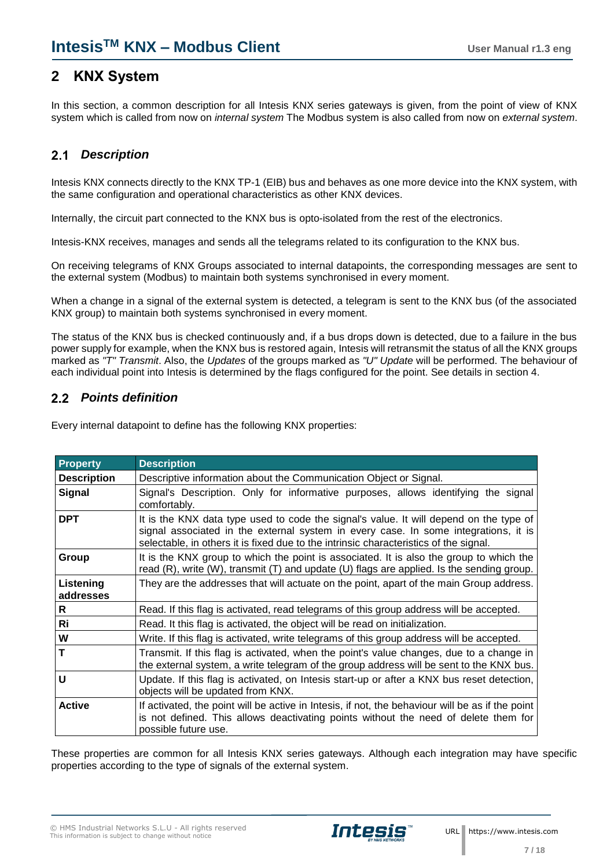### <span id="page-6-0"></span>**2 KNX System**

In this section, a common description for all Intesis KNX series gateways is given, from the point of view of KNX system which is called from now on *internal system* The Modbus system is also called from now on *external system*.

#### <span id="page-6-1"></span> $2.1$ *Description*

Intesis KNX connects directly to the KNX TP-1 (EIB) bus and behaves as one more device into the KNX system, with the same configuration and operational characteristics as other KNX devices.

Internally, the circuit part connected to the KNX bus is opto-isolated from the rest of the electronics.

Intesis-KNX receives, manages and sends all the telegrams related to its configuration to the KNX bus.

On receiving telegrams of KNX Groups associated to internal datapoints, the corresponding messages are sent to the external system (Modbus) to maintain both systems synchronised in every moment.

When a change in a signal of the external system is detected, a telegram is sent to the KNX bus (of the associated KNX group) to maintain both systems synchronised in every moment.

The status of the KNX bus is checked continuously and, if a bus drops down is detected, due to a failure in the bus power supply for example, when the KNX bus is restored again, Intesis will retransmit the status of all the KNX groups marked as *"T" Transmit*. Also, the *Updates* of the groups marked as *"U" Update* will be performed. The behaviour of each individual point into Intesis is determined by the flags configured for the point. See details in section 4.

### <span id="page-6-2"></span>*Points definition*

Every internal datapoint to define has the following KNX properties:

| Property               | <b>Description</b>                                                                                                                                                                                                                                                     |
|------------------------|------------------------------------------------------------------------------------------------------------------------------------------------------------------------------------------------------------------------------------------------------------------------|
| <b>Description</b>     | Descriptive information about the Communication Object or Signal.                                                                                                                                                                                                      |
| <b>Signal</b>          | Signal's Description. Only for informative purposes, allows identifying the signal<br>comfortably.                                                                                                                                                                     |
| <b>DPT</b>             | It is the KNX data type used to code the signal's value. It will depend on the type of<br>signal associated in the external system in every case. In some integrations, it is<br>selectable, in others it is fixed due to the intrinsic characteristics of the signal. |
| Group                  | It is the KNX group to which the point is associated. It is also the group to which the<br>read (R), write (W), transmit (T) and update (U) flags are applied. Is the sending group.                                                                                   |
| Listening<br>addresses | They are the addresses that will actuate on the point, apart of the main Group address.                                                                                                                                                                                |
| R                      | Read. If this flag is activated, read telegrams of this group address will be accepted.                                                                                                                                                                                |
| Ri                     | Read. It this flag is activated, the object will be read on initialization.                                                                                                                                                                                            |
| W                      | Write. If this flag is activated, write telegrams of this group address will be accepted.                                                                                                                                                                              |
|                        | Transmit. If this flag is activated, when the point's value changes, due to a change in<br>the external system, a write telegram of the group address will be sent to the KNX bus.                                                                                     |
| U                      | Update. If this flag is activated, on Intesis start-up or after a KNX bus reset detection,<br>objects will be updated from KNX.                                                                                                                                        |
| <b>Active</b>          | If activated, the point will be active in Intesis, if not, the behaviour will be as if the point<br>is not defined. This allows deactivating points without the need of delete them for<br>possible future use.                                                        |

These properties are common for all Intesis KNX series gateways. Although each integration may have specific properties according to the type of signals of the external system.

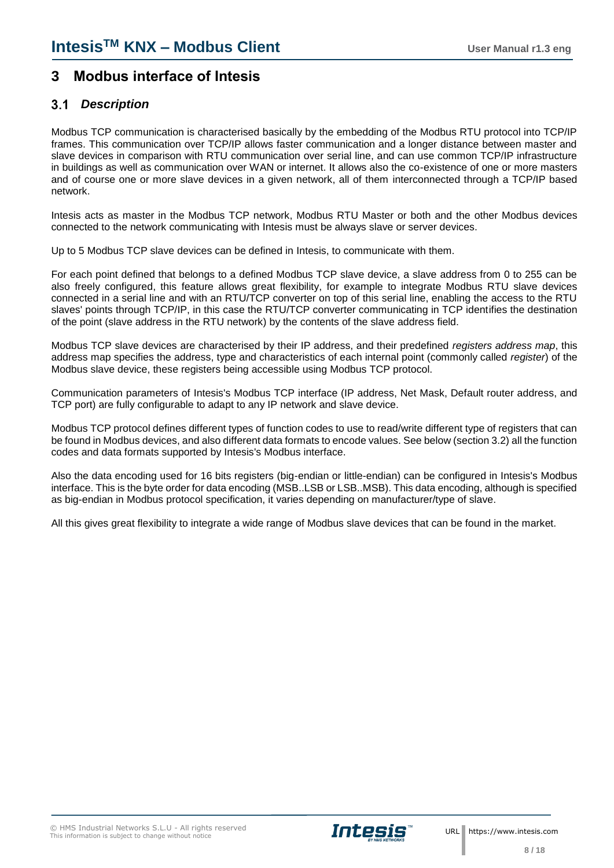### <span id="page-7-0"></span>**3 Modbus interface of Intesis**

### <span id="page-7-1"></span>*Description*

Modbus TCP communication is characterised basically by the embedding of the Modbus RTU protocol into TCP/IP frames. This communication over TCP/IP allows faster communication and a longer distance between master and slave devices in comparison with RTU communication over serial line, and can use common TCP/IP infrastructure in buildings as well as communication over WAN or internet. It allows also the co-existence of one or more masters and of course one or more slave devices in a given network, all of them interconnected through a TCP/IP based network.

Intesis acts as master in the Modbus TCP network, Modbus RTU Master or both and the other Modbus devices connected to the network communicating with Intesis must be always slave or server devices.

Up to 5 Modbus TCP slave devices can be defined in Intesis, to communicate with them.

For each point defined that belongs to a defined Modbus TCP slave device, a slave address from 0 to 255 can be also freely configured, this feature allows great flexibility, for example to integrate Modbus RTU slave devices connected in a serial line and with an RTU/TCP converter on top of this serial line, enabling the access to the RTU slaves' points through TCP/IP, in this case the RTU/TCP converter communicating in TCP identifies the destination of the point (slave address in the RTU network) by the contents of the slave address field.

Modbus TCP slave devices are characterised by their IP address, and their predefined *registers address map*, this address map specifies the address, type and characteristics of each internal point (commonly called *register*) of the Modbus slave device, these registers being accessible using Modbus TCP protocol.

Communication parameters of Intesis's Modbus TCP interface (IP address, Net Mask, Default router address, and TCP port) are fully configurable to adapt to any IP network and slave device.

Modbus TCP protocol defines different types of function codes to use to read/write different type of registers that can be found in Modbus devices, and also different data formats to encode values. See below (section 3.2) all the function codes and data formats supported by Intesis's Modbus interface.

Also the data encoding used for 16 bits registers (big-endian or little-endian) can be configured in Intesis's Modbus interface. This is the byte order for data encoding (MSB..LSB or LSB..MSB). This data encoding, although is specified as big-endian in Modbus protocol specification, it varies depending on manufacturer/type of slave.

All this gives great flexibility to integrate a wide range of Modbus slave devices that can be found in the market.

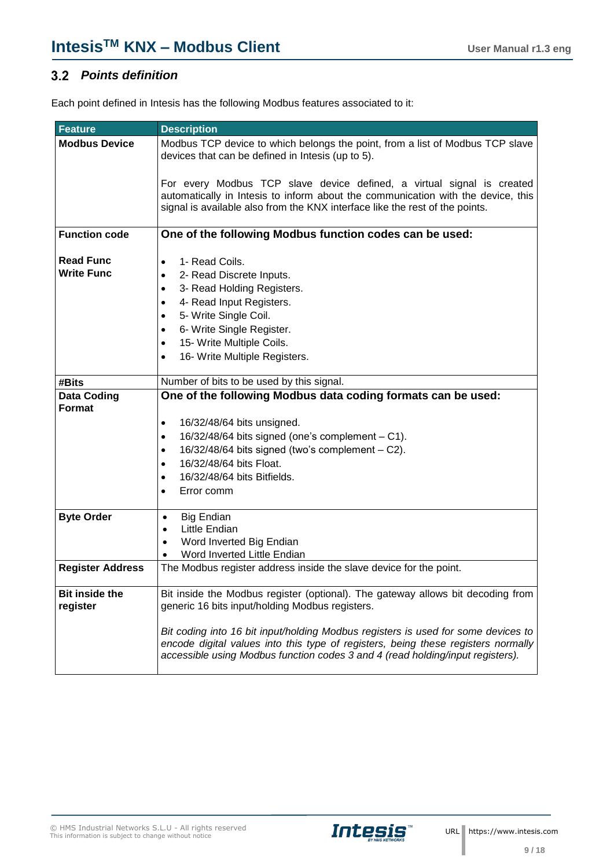### <span id="page-8-0"></span>*Points definition*

Each point defined in Intesis has the following Modbus features associated to it:

| <b>Feature</b>                        | <b>Description</b>                                                                                                                                                                                                                                                                                                               |
|---------------------------------------|----------------------------------------------------------------------------------------------------------------------------------------------------------------------------------------------------------------------------------------------------------------------------------------------------------------------------------|
| <b>Modbus Device</b>                  | Modbus TCP device to which belongs the point, from a list of Modbus TCP slave<br>devices that can be defined in Intesis (up to 5).                                                                                                                                                                                               |
|                                       | For every Modbus TCP slave device defined, a virtual signal is created<br>automatically in Intesis to inform about the communication with the device, this<br>signal is available also from the KNX interface like the rest of the points.                                                                                       |
| <b>Function code</b>                  | One of the following Modbus function codes can be used:                                                                                                                                                                                                                                                                          |
| <b>Read Func</b><br><b>Write Func</b> | 1- Read Coils.<br>$\bullet$<br>2- Read Discrete Inputs.<br>$\bullet$<br>3- Read Holding Registers.<br>$\bullet$<br>4- Read Input Registers.<br>$\bullet$<br>5- Write Single Coil.<br>$\bullet$<br>6- Write Single Register.<br>$\bullet$<br>15- Write Multiple Coils.<br>$\bullet$<br>16- Write Multiple Registers.<br>$\bullet$ |
| #Bits                                 | Number of bits to be used by this signal.                                                                                                                                                                                                                                                                                        |
| <b>Data Coding</b><br><b>Format</b>   | One of the following Modbus data coding formats can be used:<br>16/32/48/64 bits unsigned.<br>$\bullet$<br>16/32/48/64 bits signed (one's complement - C1).<br>$\bullet$<br>16/32/48/64 bits signed (two's complement - C2).<br>$\bullet$<br>16/32/48/64 bits Float.<br>$\bullet$<br>16/32/48/64 bits Bitfields.<br>$\bullet$    |
|                                       | Error comm<br>$\bullet$                                                                                                                                                                                                                                                                                                          |
| <b>Byte Order</b>                     | <b>Big Endian</b><br>$\bullet$<br>Little Endian<br>$\bullet$<br>Word Inverted Big Endian<br>$\bullet$<br>Word Inverted Little Endian<br>$\bullet$                                                                                                                                                                                |
| <b>Register Address</b>               | The Modbus register address inside the slave device for the point.                                                                                                                                                                                                                                                               |
| <b>Bit inside the</b><br>register     | Bit inside the Modbus register (optional). The gateway allows bit decoding from<br>generic 16 bits input/holding Modbus registers.                                                                                                                                                                                               |
|                                       | Bit coding into 16 bit input/holding Modbus registers is used for some devices to<br>encode digital values into this type of registers, being these registers normally<br>accessible using Modbus function codes 3 and 4 (read holding/input registers).                                                                         |

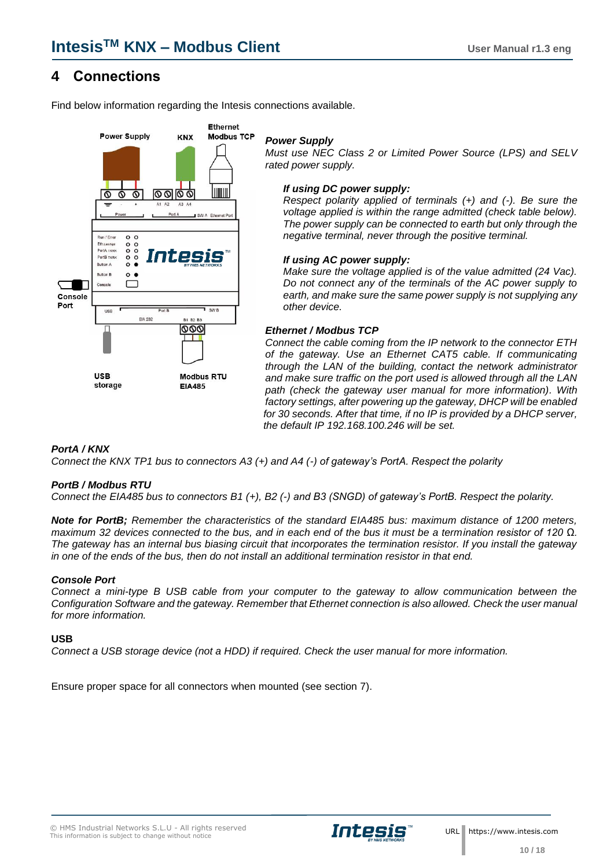### <span id="page-9-0"></span>**4 Connections**

Find below information regarding the Intesis connections available.



#### *Power Supply*

*Must use NEC Class 2 or Limited Power Source (LPS) and SELV rated power supply.*

#### *If using DC power supply:*

*Respect polarity applied of terminals (+) and (-). Be sure the voltage applied is within the range admitted (check table below). The power supply can be connected to earth but only through the negative terminal, never through the positive terminal.*

#### *If using AC power supply:*

*Make sure the voltage applied is of the value admitted (24 Vac). Do not connect any of the terminals of the AC power supply to earth, and make sure the same power supply is not supplying any other device.*

#### *Ethernet / Modbus TCP*

*Connect the cable coming from the IP network to the connector ETH of the gateway. Use an Ethernet CAT5 cable. If communicating through the LAN of the building, contact the network administrator and make sure traffic on the port used is allowed through all the LAN path (check the gateway user manual for more information). With factory settings, after powering up the gateway, DHCP will be enabled for 30 seconds. After that time, if no IP is provided by a DHCP server, the default IP 192.168.100.246 will be set.*

#### *PortA / KNX*

*Connect the KNX TP1 bus to connectors A3 (+) and A4 (-) of gateway's PortA. Respect the polarity*

#### *PortB / Modbus RTU*

*Connect the EIA485 bus to connectors B1 (+), B2 (-) and B3 (SNGD) of gateway's PortB. Respect the polarity.* 

*Note for PortB; Remember the characteristics of the standard EIA485 bus: maximum distance of 1200 meters, maximum 32 devices connected to the bus, and in each end of the bus it must be a termination resistor of 120 Ω. The gateway has an internal bus biasing circuit that incorporates the termination resistor. If you install the gateway in one of the ends of the bus, then do not install an additional termination resistor in that end.*

#### *Console Port*

*Connect a mini-type B USB cable from your computer to the gateway to allow communication between the Configuration Software and the gateway. Remember that Ethernet connection is also allowed. Check the user manual for more information.*

#### **USB**

*Connect a USB storage device (not a HDD) if required. Check the user manual for more information.*

Ensure proper space for all connectors when mounted (see section [7\)](#page-17-0).

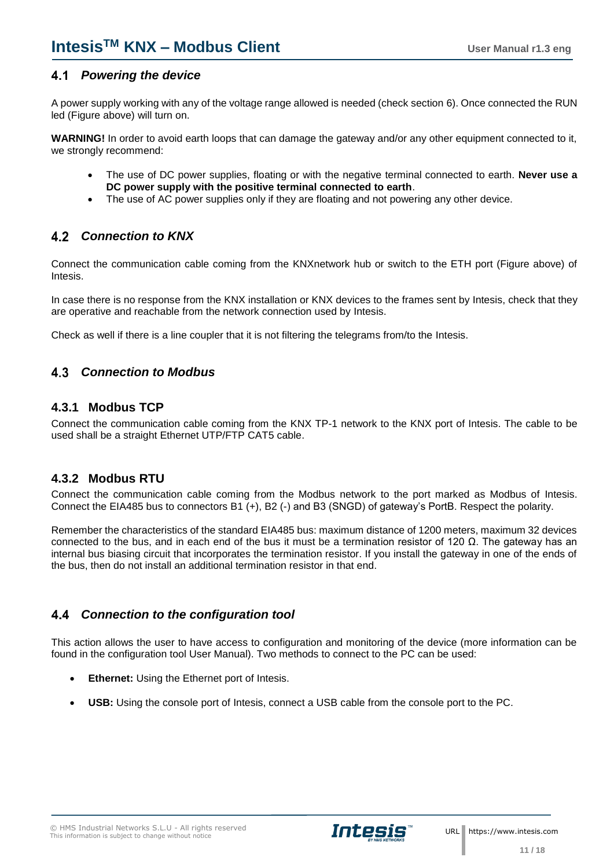### <span id="page-10-0"></span>*Powering the device*

A power supply working with any of the voltage range allowed is needed (check section [6\)](#page-16-0). Once connected the RUN led (Figure above) will turn on.

**WARNING!** In order to avoid earth loops that can damage the gateway and/or any other equipment connected to it, we strongly recommend:

- The use of DC power supplies, floating or with the negative terminal connected to earth. **Never use a DC power supply with the positive terminal connected to earth**.
- The use of AC power supplies only if they are floating and not powering any other device.

### <span id="page-10-1"></span>*Connection to KNX*

Connect the communication cable coming from the KNXnetwork hub or switch to the ETH port (Figure above) of Intesis.

In case there is no response from the KNX installation or KNX devices to the frames sent by Intesis, check that they are operative and reachable from the network connection used by Intesis.

Check as well if there is a line coupler that it is not filtering the telegrams from/to the Intesis.

#### <span id="page-10-2"></span>4.3 *Connection to Modbus*

### <span id="page-10-3"></span>**4.3.1 Modbus TCP**

Connect the communication cable coming from the KNX TP-1 network to the KNX port of Intesis. The cable to be used shall be a straight Ethernet UTP/FTP CAT5 cable.

#### <span id="page-10-4"></span>**4.3.2 Modbus RTU**

Connect the communication cable coming from the Modbus network to the port marked as Modbus of Intesis. Connect the EIA485 bus to connectors B1 (+), B2 (-) and B3 (SNGD) of gateway's PortB. Respect the polarity.

Remember the characteristics of the standard EIA485 bus: maximum distance of 1200 meters, maximum 32 devices connected to the bus, and in each end of the bus it must be a termination resistor of 120 Ω. The gateway has an internal bus biasing circuit that incorporates the termination resistor. If you install the gateway in one of the ends of the bus, then do not install an additional termination resistor in that end.

### <span id="page-10-5"></span>*Connection to the configuration tool*

This action allows the user to have access to configuration and monitoring of the device (more information can be found in the configuration tool User Manual). Two methods to connect to the PC can be used:

- **Ethernet:** Using the Ethernet port of Intesis.
- **USB:** Using the console port of Intesis, connect a USB cable from the console port to the PC.

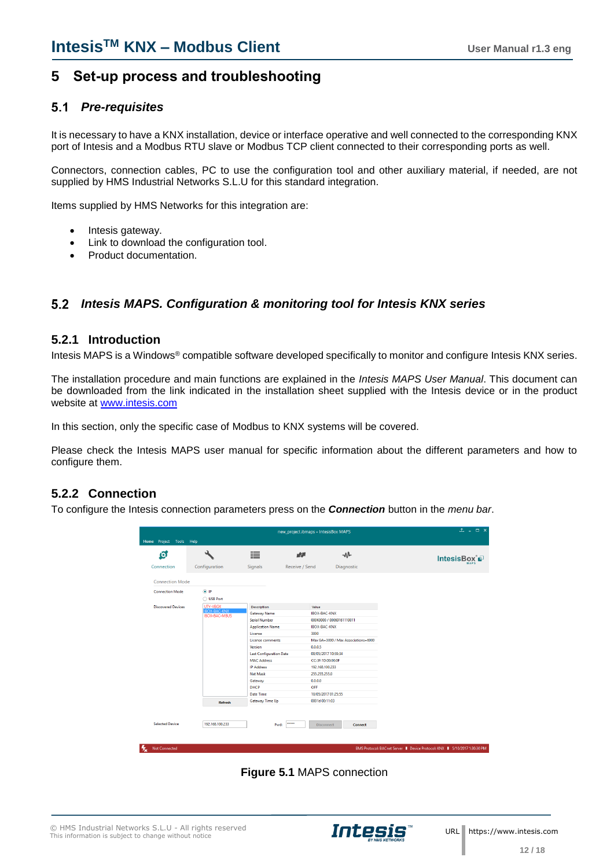### <span id="page-11-0"></span>**5 Set-up process and troubleshooting**

#### <span id="page-11-1"></span>*Pre-requisites*  $5.1$

It is necessary to have a KNX installation, device or interface operative and well connected to the corresponding KNX port of Intesis and a Modbus RTU slave or Modbus TCP client connected to their corresponding ports as well.

Connectors, connection cables, PC to use the configuration tool and other auxiliary material, if needed, are not supplied by HMS Industrial Networks S.L.U for this standard integration.

Items supplied by HMS Networks for this integration are:

- Intesis gateway.
- Link to download the configuration tool.
- Product documentation.

### <span id="page-11-2"></span>*Intesis MAPS. Configuration & monitoring tool for Intesis KNX series*

#### <span id="page-11-3"></span>**5.2.1 Introduction**

Intesis MAPS is a Windows® compatible software developed specifically to monitor and configure Intesis KNX series.

The installation procedure and main functions are explained in the *Intesis MAPS User Manual*. This document can be downloaded from the link indicated in the installation sheet supplied with the Intesis device or in the product website at [www.intesis.com](http://www.intesis.com/)

In this section, only the specific case of Modbus to KNX systems will be covered.

Please check the Intesis MAPS user manual for specific information about the different parameters and how to configure them.

#### <span id="page-11-4"></span>**5.2.2 Connection**

To configure the Intesis connection parameters press on the *Connection* button in the *menu bar*.

|                           |                                             |                                | new_project.ibmaps - IntesisBox MAPS |                                     | $1 - 1$ $\times$ |
|---------------------------|---------------------------------------------|--------------------------------|--------------------------------------|-------------------------------------|------------------|
| Home Project Tools Help   |                                             |                                |                                      |                                     |                  |
| Ō.                        | ىك                                          | ≣                              | 图                                    | -M-                                 | IntesisBox®      |
| Connection                | Configuration                               | Signals                        | Receive / Send                       | Diagnostic                          |                  |
| <b>Connection Mode</b>    |                                             |                                |                                      |                                     |                  |
| <b>Connection Mode</b>    | $\circ$ IP<br>◯ USB Port                    |                                |                                      |                                     |                  |
| <b>Discovered Devices</b> | UTY-VBGX                                    | <b>Description</b>             | Value                                |                                     |                  |
|                           | <b>IBOX-BAC-KNX</b><br><b>IBOX-BAC-MBUS</b> | <b>Gateway Name</b>            |                                      | <b>IBOX-BAC-KNX</b>                 |                  |
|                           |                                             | <b>Serial Number</b>           |                                      | 000K0000 / 00060161110011           |                  |
|                           |                                             | <b>Application Name</b>        |                                      | <b>IBOX-BAC-KNX</b>                 |                  |
|                           |                                             | License                        | 3000                                 |                                     |                  |
|                           |                                             | <b>License comments</b>        |                                      | Max GA=3000 / Max Associations=6000 |                  |
|                           |                                             | Version                        | 0.0.0.5                              |                                     |                  |
|                           |                                             | <b>Last Configuration Date</b> |                                      | 08/05/2017 10:59:34                 |                  |
|                           |                                             | <b>MAC Address</b>             |                                      | CC:3F:1D:00:00:0F                   |                  |
|                           |                                             | <b>IP Address</b>              |                                      | 192.168.100.233                     |                  |
|                           |                                             | <b>Net Mask</b>                | 255.255.255.0                        |                                     |                  |
|                           |                                             | Gateway                        | 0.0.0.0                              |                                     |                  |
|                           |                                             | <b>DHCP</b>                    | OFF                                  |                                     |                  |
|                           |                                             | <b>Date Time</b>               |                                      | 10/05/2017 01:25:55                 |                  |
|                           | Refresh                                     | Gateway Time Up                |                                      | 0001d 00:11:03                      |                  |
| <b>Selected Device</b>    | 192.168.100.233                             |                                | *****<br>Pwd:                        | <b>Disconnect</b><br><b>Connect</b> |                  |
|                           |                                             |                                |                                      |                                     |                  |
|                           |                                             |                                |                                      |                                     |                  |

**Figure 5.1** MAPS connection

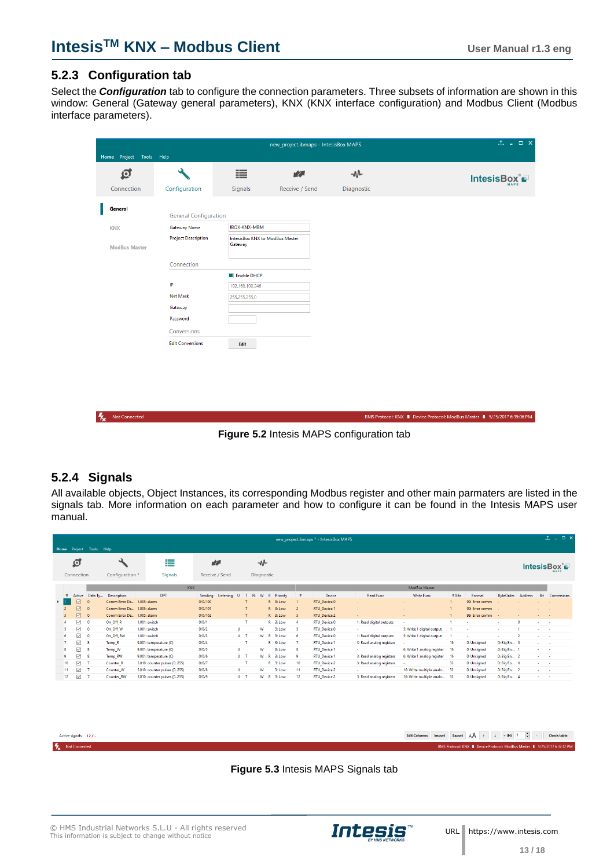$\mathbf{I}$ 

BMS Protocol: KNX | Device Protocol: ModBus Master | 5/25/2017 6:35:06 PM

#### <span id="page-12-0"></span>**5.2.3 Configuration tab**

Select the *Configuration* tab to configure the connection parameters. Three subsets of information are shown in this window: General (Gateway general parameters), KNX (KNX interface configuration) and Modbus Client (Modbus interface parameters).

| Home Project Tools Help |                              |                                            | new_project.ibmaps - IntesisBox MAPS |            | 工 I X       |
|-------------------------|------------------------------|--------------------------------------------|--------------------------------------|------------|-------------|
| ত্ৰ                     | ىد                           | 這                                          | 欧                                    | $-M$       | IntesisBox® |
| Connection              | Configuration                | Signals                                    | Receive / Send                       | Diagnostic |             |
| <b>General</b>          | <b>General Configuration</b> |                                            |                                      |            |             |
| <b>KNX</b>              | Gateway Name                 | <b>IBOX-KNX-MBM</b>                        |                                      |            |             |
|                         | <b>Project Description</b>   | IntesisBox KNX to ModBus Master<br>Gateway |                                      |            |             |
| <b>ModBus Master</b>    |                              |                                            |                                      |            |             |
|                         | Connection                   |                                            |                                      |            |             |
|                         |                              | Enable DHCP                                |                                      |            |             |
|                         | $\mathsf{IP}$                | 192.168.100.246                            |                                      |            |             |
|                         | <b>Net Mask</b>              | 255.255.255.0                              |                                      |            |             |
|                         | Gateway                      |                                            |                                      |            |             |
|                         | Password                     |                                            |                                      |            |             |
|                         | Conversions                  |                                            |                                      |            |             |
|                         | <b>Edit Conversions</b>      | Edit                                       |                                      |            |             |

**K** Not Connected

**Figure 5.2** Intesis MAPS configuration tab

### <span id="page-12-1"></span>**5.2.4 Signals**

All available objects, Object Instances, its corresponding Modbus register and other main parmaters are listed in the signals tab. More information on each parameter and how to configure it can be found in the Intesis MAPS user manual.

|      | $1 - 1$ $x$<br>new_project.ibmaps * - IntesisBox MAPS<br>Help |                             |                |                            |                              |                        |       |            |                |          |                         |                     |                          |                            |        |                  |                          |         |                    |                       |
|------|---------------------------------------------------------------|-----------------------------|----------------|----------------------------|------------------------------|------------------------|-------|------------|----------------|----------|-------------------------|---------------------|--------------------------|----------------------------|--------|------------------|--------------------------|---------|--------------------|-----------------------|
| Home |                                                               | Project<br>୍ର<br>Connection | Tools          | Configuration *            | ⋿<br><b>Signals</b>          | 欧<br>Receive / Send    |       | Diagnostic | -₩             |          |                         |                     |                          |                            |        |                  |                          |         |                    | IntesisBox ๊ <b>⊕</b> |
|      |                                                               |                             |                |                            | <b>KNX</b>                   |                        |       |            |                |          |                         |                     |                          | ModBus Master              |        |                  |                          |         |                    |                       |
|      | $\frac{1}{2}$                                                 |                             | Active Data Ty | <b>Description</b>         | <b>DPT</b>                   | Sendina<br>Listening U | T     | Ri W       | R              | Priority | $\frac{1}{2}$           | Device              | <b>Read Func</b>         | <b>Write Func</b>          | # Bits | Format           | <b>ByteOrder</b>         | Address | Bit                | Conversions           |
|      |                                                               | 冈                           | $\Omega$       | Comm Error De 1.005: alarm |                              | 0/0/100                |       |            |                | R 3: Low |                         | RTU_Device 0        |                          |                            |        | 99: Error comm   |                          |         |                    |                       |
|      |                                                               | ☑                           | $\Omega$       | Comm Error De 1.005: alarm |                              | 0/0/101                |       |            |                | R 3: Low | $\overline{c}$          | RTU_Device 1        |                          |                            |        | 99: Error comm - |                          |         | $\sim$             | ٠.                    |
|      |                                                               | ☑                           | $\circ$        | Comm Error De 1.005: alarm |                              | 0/0/102                | T     |            |                | R 3: Low | $\overline{\mathbf{3}}$ | <b>RTU Device 2</b> | $\sim$                   | ٠                          |        | 99: Error comm - |                          |         | . .                |                       |
|      |                                                               | ☑                           | $\Omega$       | On_Off_R                   | 1.001: switch                | 0/0/1                  |       |            |                | R 3: Low | $\overline{A}$          | <b>RTU_Device 0</b> | 1: Read digital outputs  | ×.                         |        | <b>A</b>         | ×                        |         | . .                |                       |
|      |                                                               | ☑                           | $\mathbf{0}$   | On_Off_W                   | 1.001: switch                | 0/0/2                  | U     |            | W              | 3: Low   | -5                      | <b>RTU_Device 0</b> |                          | 5: Write 1 digital output  |        | $\sim$           | $\overline{\phantom{a}}$ |         | . .                |                       |
|      |                                                               | ☑                           | $\Omega$       | On_Off_RW                  | 1.001: switch                | 0/0/3                  | $U$ T |            | $W - R$        | 3: Low   | -6                      | <b>RTU Device 0</b> | 1: Read digital outputs  | 5: Write 1 digital output  |        |                  | $\sim$                   |         | . .                |                       |
|      |                                                               | ☑                           | 8              | Temp_R                     | 9.001: temperature (C)       | 0/0/4                  |       |            |                | R 3: Low |                         | <b>RTU_Device 1</b> | 3: Read analog registers | $\sim$                     | 16     | 0: Unsigned      | 0: Big En 0              |         | . .                |                       |
|      |                                                               | ☑                           | -8             | Temp_W                     | 9.001: temperature (C)       | 0/0/5                  | U     |            | W              | 3: Low   | -8                      | <b>RTU Device 1</b> | <b>.</b>                 | 6: Write 1 analog register | 16     | 0: Unsigned      | 0: Big En 1              |         | and the            |                       |
|      |                                                               | ☑                           | 8              | Temp_RW                    | 9.001: temperature (C)       | 0/0/6                  | $U$ T |            | $W$ R          | 3: Low   | ۰                       | <b>RTU_Device 1</b> | 3: Read analog registers | 6: Write 1 analog register | 16     | 0: Unsigned      | 0: Big En 2              |         | <b>State State</b> |                       |
|      | 10 <sup>10</sup>                                              | ☑                           |                | Counter <sub>R</sub>       | 5.010: counter pulses (0255) | 0/0/7                  |       |            |                | R 3: Low | 10                      | <b>RTU_Device 2</b> | 3: Read analog registers | ٠                          | 32     | 0: Unsigned      | 0: Big En 0              |         | . .                |                       |
|      | $11 -$                                                        | ☑                           |                | Counter W                  | 5.010: counter pulses (0255) | 0/0/8                  | U     |            | w              | 3: Low   | 11                      | <b>RTU Device 2</b> | $\sim$                   | 16: Write multiple analo   | -32    | 0: Unsigned      | 0: Big En 2              |         | and the            |                       |
|      | 12 <sup>°</sup>                                               | ☑                           |                | Counter_RW                 | 5.010: counter pulses (0255) | 0/0/9                  | $U$ T |            | W <sub>R</sub> | 3: Low   | 12                      | <b>RTU_Device 2</b> | 3: Read analog registers | 16: Write multiple analo   | -32    | 0: Unsigned      | 0: Big En 4              |         | . .                |                       |

| Active signals: 12/  |  |
|----------------------|--|
| <b>Not Connected</b> |  |

Edit Columns Import Export  $\begin{vmatrix} A & 1 & 1 \end{vmatrix}$  + (N)  $\begin{vmatrix} 1 & \frac{1}{2} \end{vmatrix}$  - Check table

.<br>BMS Protocol: KNX ■ Device Protocol: ModBus Master ■ 5/25/2017 6:37:12 PM

**Figure 5.3** Intesis MAPS Signals tab



 **13 / 18**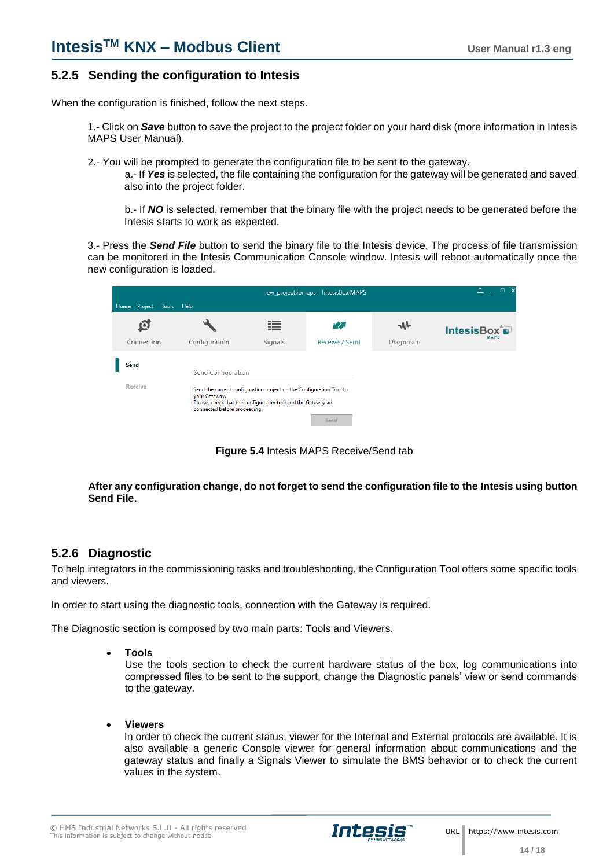#### <span id="page-13-0"></span>**5.2.5 Sending the configuration to Intesis**

When the configuration is finished, follow the next steps.

1.- Click on *Save* button to save the project to the project folder on your hard disk (more information in Intesis MAPS User Manual).

2.- You will be prompted to generate the configuration file to be sent to the gateway.

a.- If *Yes* is selected, the file containing the configuration for the gateway will be generated and saved also into the project folder.

b.- If *NO* is selected, remember that the binary file with the project needs to be generated before the Intesis starts to work as expected.

3.- Press the *Send File* button to send the binary file to the Intesis device. The process of file transmission can be monitored in the Intesis Communication Console window. Intesis will reboot automatically once the new configuration is loaded.

|                          |                                               |                                                                                                                                      | new_project.ibmaps - IntesisBox MAPS |                   | $  \times$<br><b>f</b> |
|--------------------------|-----------------------------------------------|--------------------------------------------------------------------------------------------------------------------------------------|--------------------------------------|-------------------|------------------------|
| Project<br>Home<br>Tools | Help                                          |                                                                                                                                      |                                      |                   |                        |
| ω                        |                                               | ≔                                                                                                                                    | rΣ.                                  | ⊸∿∿               | IntesisBox®            |
| Connection               | Configuration                                 | <b>Signals</b>                                                                                                                       | Receive / Send                       | <b>Diagnostic</b> |                        |
| Send                     | Send Configuration                            |                                                                                                                                      |                                      |                   |                        |
| <b>Receive</b>           | your Gateway.<br>connected before proceeding. | Send the current configuration project on the Configuration Tool to<br>Please, check that the configuration tool and the Gateway are |                                      |                   |                        |
|                          |                                               |                                                                                                                                      | Send                                 |                   |                        |

**Figure 5.4** Intesis MAPS Receive/Send tab

**After any configuration change, do not forget to send the configuration file to the Intesis using button Send File.**

### <span id="page-13-1"></span>**5.2.6 Diagnostic**

To help integrators in the commissioning tasks and troubleshooting, the Configuration Tool offers some specific tools and viewers.

In order to start using the diagnostic tools, connection with the Gateway is required.

The Diagnostic section is composed by two main parts: Tools and Viewers.

• **Tools**

Use the tools section to check the current hardware status of the box, log communications into compressed files to be sent to the support, change the Diagnostic panels' view or send commands to the gateway.

• **Viewers**

In order to check the current status, viewer for the Internal and External protocols are available. It is also available a generic Console viewer for general information about communications and the gateway status and finally a Signals Viewer to simulate the BMS behavior or to check the current values in the system.

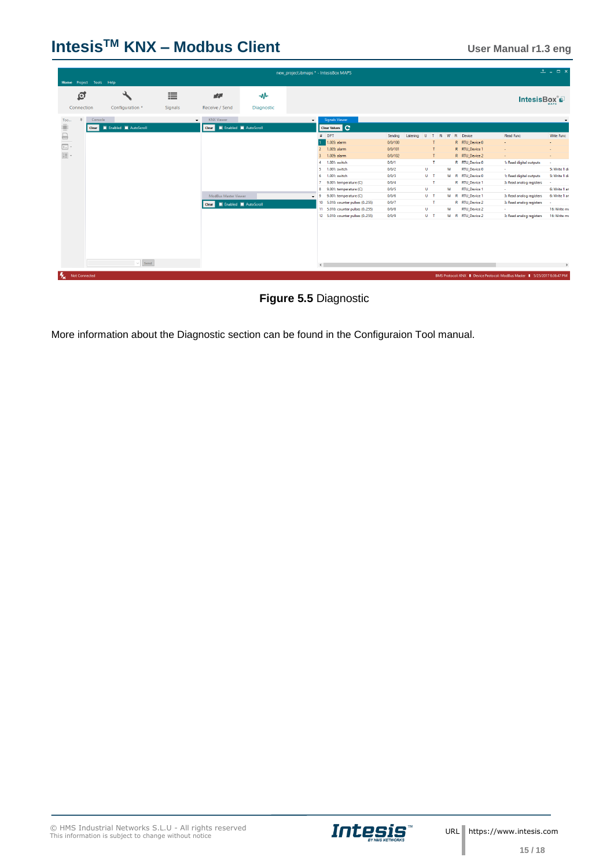## **IntesisTM KNX – Modbus Client User Manual r1.3 eng**

| Home Project Tools Help |                              |         |                              |            |         | new_project.ibmaps * - IntesisBox MAPS |         |           |              |   |                     |                                                                           | $1 - 1$ $\times$ |
|-------------------------|------------------------------|---------|------------------------------|------------|---------|----------------------------------------|---------|-----------|--------------|---|---------------------|---------------------------------------------------------------------------|------------------|
| ₫                       |                              | 丰       | 欧                            | M          |         |                                        |         |           |              |   |                     | IntesisBox P                                                              | MAPS             |
| Connection              | Configuration <sup>*</sup>   | Signals | Receive / Send               | Diagnostic |         |                                        |         |           |              |   |                     |                                                                           |                  |
| $\Box$<br>Too           | Console                      |         | <b>KNX Viewer</b><br>$\cdot$ |            | $\cdot$ | <b>Signals Viewer</b>                  |         |           |              |   |                     |                                                                           |                  |
| $\Box$                  | Clear   Enabled   AutoScroll |         | Clear   Enabled   AutoScroll |            |         | Clear Values                           |         |           |              |   |                     |                                                                           |                  |
|                         |                              |         |                              |            |         | $#$ DPT                                | Sending | Listening |              |   | U T R W R Device    | Read Func                                                                 | Write Func       |
|                         |                              |         |                              |            |         | 1.005: alarm                           | 0/0/100 |           | т            |   | R RTU Device 0      | ÷                                                                         |                  |
|                         |                              |         |                              |            |         | 2 1.005: alarm                         | 0/0/101 |           |              |   | R RTU_Device 1      | ÷                                                                         |                  |
|                         |                              |         |                              |            |         | 1.005: alarm<br>3 <sup>7</sup>         | 0/0/102 |           | T            |   | R RTU_Device 2      | $\sim$                                                                    | $\sim$           |
|                         |                              |         |                              |            |         | 1.001: switch<br>$\overline{4}$        | 0/0/1   |           | $\mathbf{T}$ |   | R RTU_Device 0      | 1: Read digital outputs                                                   |                  |
|                         |                              |         |                              |            |         | 1.001: switch<br>5                     | 0/0/2   | U         |              | W | <b>RTU Device 0</b> | ×.                                                                        | 5: Write 1 di    |
|                         |                              |         |                              |            |         | 6 1.001: switch                        | 0/0/3   | $U$ T     |              |   | W R RTU Device 0    | 1: Read digital outputs                                                   | 5: Write 1 di    |
|                         |                              |         |                              |            |         | 9.001: temperature (C)                 | 0/0/4   |           | $\mathbf{T}$ |   | R RTU Device 1      | 3: Read analog registers                                                  |                  |
|                         |                              |         |                              |            |         | 9.001: temperature (C)<br>8            | 0/0/5   | U.        |              | w | <b>RTU_Device 1</b> | ×.                                                                        | 6: Write 1 an    |
|                         |                              |         | ModBus Master Viewer         |            |         | 9.001: temperature (C)<br>- 9          | 0/0/6   | $U$ T     |              |   | W R RTU Device 1    | 3: Read analog registers                                                  | 6: Write 1 an    |
|                         |                              |         | Clear   Enabled   AutoScroll |            |         | 10 5.010: counter pulses (0255)        | 0/0/7   |           | $\mathbf{T}$ |   | R RTU_Device 2      | 3: Read analog registers                                                  |                  |
|                         |                              |         |                              |            |         | 11 5.010: counter pulses (0255)        | 0/0/8   | U.        |              | w | <b>RTU_Device 2</b> | ÷.                                                                        | 16: Write mu     |
|                         |                              |         |                              |            |         |                                        | 0/0/9   | $U$ T     |              |   | W R RTU_Device 2    | 3: Read analog registers                                                  | 16: Write mu     |
|                         |                              |         |                              |            |         | 12 5.010: counter pulses (0255)        |         |           |              |   |                     |                                                                           |                  |
|                         | $\vee$ Send                  |         |                              |            |         |                                        |         |           |              |   |                     |                                                                           |                  |
|                         |                              |         |                              |            |         | $\left\langle \cdot \right\rangle$     |         |           |              |   |                     |                                                                           |                  |
| Not Connected           |                              |         |                              |            |         |                                        |         |           |              |   |                     | BMS Protocol: KNX   Device Protocol: ModBus Master   5/25/2017 6:36:47 PM |                  |



More information about the Diagnostic section can be found in the Configuraion Tool manual.

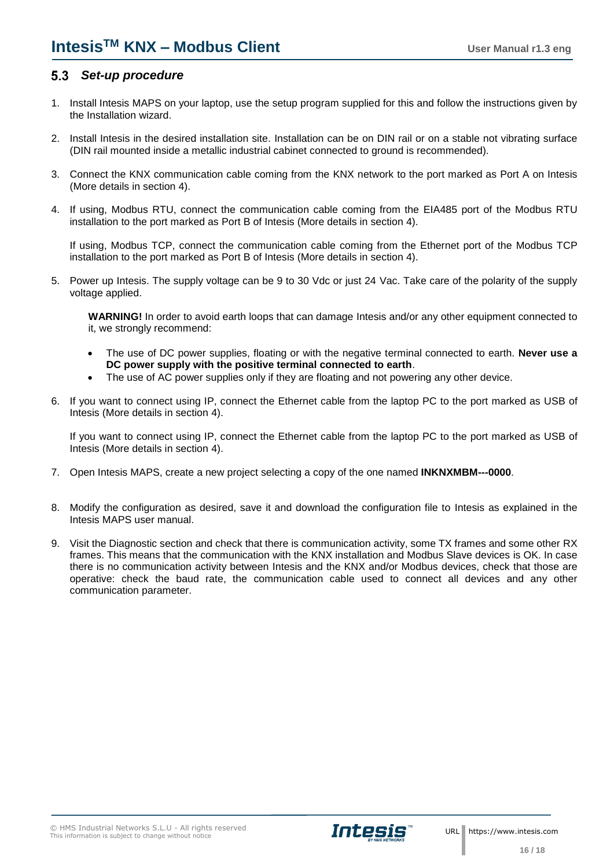### <span id="page-15-0"></span>*Set-up procedure*

- 1. Install Intesis MAPS on your laptop, use the setup program supplied for this and follow the instructions given by the Installation wizard.
- 2. Install Intesis in the desired installation site. Installation can be on DIN rail or on a stable not vibrating surface (DIN rail mounted inside a metallic industrial cabinet connected to ground is recommended).
- 3. Connect the KNX communication cable coming from the KNX network to the port marked as Port A on Intesis (More details in section [4\)](#page-9-0).
- 4. If using, Modbus RTU, connect the communication cable coming from the EIA485 port of the Modbus RTU installation to the port marked as Port B of Intesis (More details in section [4\)](#page-9-0).

If using, Modbus TCP, connect the communication cable coming from the Ethernet port of the Modbus TCP installation to the port marked as Port B of Intesis (More details in section [4\)](#page-9-0).

5. Power up Intesis. The supply voltage can be 9 to 30 Vdc or just 24 Vac. Take care of the polarity of the supply voltage applied.

**WARNING!** In order to avoid earth loops that can damage Intesis and/or any other equipment connected to it, we strongly recommend:

- The use of DC power supplies, floating or with the negative terminal connected to earth. **Never use a DC power supply with the positive terminal connected to earth**.
- The use of AC power supplies only if they are floating and not powering any other device.
- 6. If you want to connect using IP, connect the Ethernet cable from the laptop PC to the port marked as USB of Intesis (More details in section [4\)](#page-9-0).

If you want to connect using IP, connect the Ethernet cable from the laptop PC to the port marked as USB of Intesis (More details in section [4\)](#page-9-0).

- 7. Open Intesis MAPS, create a new project selecting a copy of the one named **INKNXMBM---0000**.
- 8. Modify the configuration as desired, save it and download the configuration file to Intesis as explained in the Intesis MAPS user manual.
- 9. Visit the Diagnostic section and check that there is communication activity, some TX frames and some other RX frames. This means that the communication with the KNX installation and Modbus Slave devices is OK. In case there is no communication activity between Intesis and the KNX and/or Modbus devices, check that those are operative: check the baud rate, the communication cable used to connect all devices and any other communication parameter.

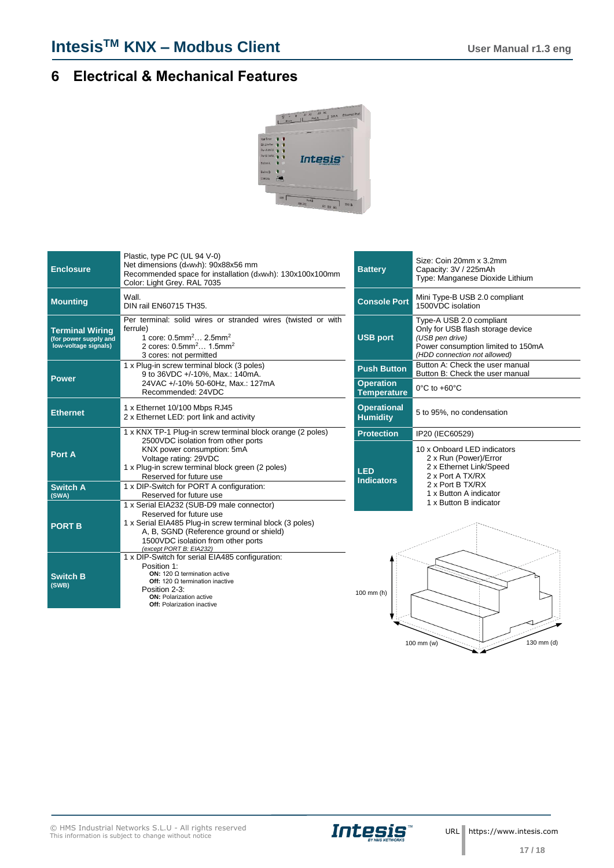## <span id="page-16-0"></span>**6 Electrical & Mechanical Features**



| <b>Enclosure</b>                                                        | Plastic, type PC (UL 94 V-0)<br>Net dimensions (dxwxh): 90x88x56 mm<br>Recommended space for installation (dxwxh): 130x100x100mm<br>Color: Light Grey. RAL 7035                                                                                | <b>Battery</b>                         | Size: Coin 20mm x 3.2mm<br>Capacity: 3V / 225mAh<br>Type: Manganese Dioxide Lithium                                                                    |  |  |  |  |
|-------------------------------------------------------------------------|------------------------------------------------------------------------------------------------------------------------------------------------------------------------------------------------------------------------------------------------|----------------------------------------|--------------------------------------------------------------------------------------------------------------------------------------------------------|--|--|--|--|
| <b>Mounting</b>                                                         | Wall.<br>DIN rail EN60715 TH35.                                                                                                                                                                                                                | <b>Console Port</b>                    | Mini Type-B USB 2.0 compliant<br>1500VDC isolation                                                                                                     |  |  |  |  |
| <b>Terminal Wiring</b><br>(for power supply and<br>low-voltage signals) | Per terminal: solid wires or stranded wires (twisted or with<br>ferrule)<br>1 core: 0.5mm <sup>2</sup> 2.5mm <sup>2</sup><br>2 cores: $0.5$ mm <sup>2</sup> $1.5$ mm <sup>2</sup><br>3 cores: not permitted                                    | <b>USB port</b>                        | Type-A USB 2.0 compliant<br>Only for USB flash storage device<br>(USB pen drive)<br>Power consumption limited to 150mA<br>(HDD connection not allowed) |  |  |  |  |
|                                                                         | 1 x Plug-in screw terminal block (3 poles)<br>9 to 36VDC +/-10%, Max.: 140mA.                                                                                                                                                                  | <b>Push Button</b>                     | Button A: Check the user manual<br>Button B: Check the user manual                                                                                     |  |  |  |  |
| <b>Power</b>                                                            | 24VAC +/-10% 50-60Hz, Max.: 127mA<br>Recommended: 24VDC                                                                                                                                                                                        | <b>Operation</b><br><b>Temperature</b> | 0°C to +60°C                                                                                                                                           |  |  |  |  |
| <b>Ethernet</b>                                                         | 1 x Ethernet 10/100 Mbps RJ45<br>2 x Ethernet LED: port link and activity                                                                                                                                                                      | <b>Operational</b><br><b>Humidity</b>  | 5 to 95%, no condensation                                                                                                                              |  |  |  |  |
|                                                                         | 1 x KNX TP-1 Plug-in screw terminal block orange (2 poles)                                                                                                                                                                                     | <b>Protection</b>                      | IP20 (IEC60529)                                                                                                                                        |  |  |  |  |
| Port A                                                                  | 2500VDC isolation from other ports<br>KNX power consumption: 5mA<br>Voltage rating: 29VDC<br>1 x Plug-in screw terminal block green (2 poles)<br>Reserved for future use                                                                       | <b>LED</b><br><b>Indicators</b>        | 10 x Onboard LED indicators<br>2 x Run (Power)/Error<br>2 x Ethernet Link/Speed<br>2 x Port A TX/RX                                                    |  |  |  |  |
| <b>Switch A</b><br>(SWA)                                                | 1 x DIP-Switch for PORT A configuration:<br>Reserved for future use                                                                                                                                                                            |                                        | 2 x Port B TX/RX<br>1 x Button A indicator                                                                                                             |  |  |  |  |
| <b>PORT B</b>                                                           | 1 x Serial EIA232 (SUB-D9 male connector)<br>Reserved for future use<br>1 x Serial EIA485 Plug-in screw terminal block (3 poles)<br>A, B, SGND (Reference ground or shield)<br>1500VDC isolation from other ports<br>(except PORT B: EIA232)   |                                        | 1 x Button B indicator                                                                                                                                 |  |  |  |  |
| <b>Switch B</b><br>(SWB)                                                | 1 x DIP-Switch for serial EIA485 configuration:<br>Position 1:<br><b>ON:</b> 120 $\Omega$ termination active<br>Off: 120 $\Omega$ termination inactive<br>Position 2-3:<br><b>ON:</b> Polarization active<br><b>Off: Polarization inactive</b> | $100$ mm $(h)$                         |                                                                                                                                                        |  |  |  |  |



100 mm (w) 130 mm (d)